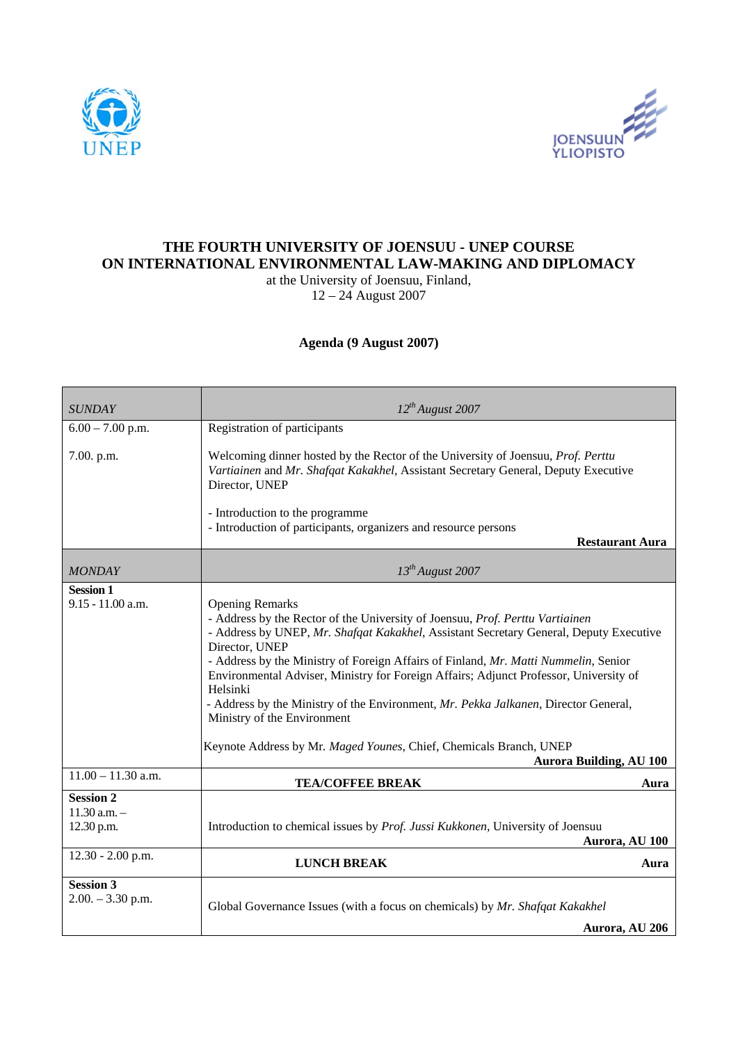



## **THE FOURTH UNIVERSITY OF JOENSUU - UNEP COURSE ON INTERNATIONAL ENVIRONMENTAL LAW-MAKING AND DIPLOMACY**

at the University of Joensuu, Finland,  $12 - 24$  August 2007

## **Agenda (9 August 2007)**

| <b>SUNDAY</b>                                      | $12^{th}$ August 2007                                                                                                                                                                                                                                                                                                                                                                                                                                                                                                                                                                                                                         |
|----------------------------------------------------|-----------------------------------------------------------------------------------------------------------------------------------------------------------------------------------------------------------------------------------------------------------------------------------------------------------------------------------------------------------------------------------------------------------------------------------------------------------------------------------------------------------------------------------------------------------------------------------------------------------------------------------------------|
| $6.00 - 7.00$ p.m.                                 | Registration of participants                                                                                                                                                                                                                                                                                                                                                                                                                                                                                                                                                                                                                  |
| 7.00. p.m.                                         | Welcoming dinner hosted by the Rector of the University of Joensuu, Prof. Perttu<br>Vartiainen and Mr. Shafqat Kakakhel, Assistant Secretary General, Deputy Executive<br>Director, UNEP                                                                                                                                                                                                                                                                                                                                                                                                                                                      |
|                                                    | - Introduction to the programme<br>- Introduction of participants, organizers and resource persons<br><b>Restaurant Aura</b>                                                                                                                                                                                                                                                                                                                                                                                                                                                                                                                  |
| <b>MONDAY</b>                                      | $13^{th}$ August 2007                                                                                                                                                                                                                                                                                                                                                                                                                                                                                                                                                                                                                         |
| <b>Session 1</b><br>9.15 - 11.00 a.m.              | <b>Opening Remarks</b><br>- Address by the Rector of the University of Joensuu, Prof. Perttu Vartiainen<br>- Address by UNEP, Mr. Shafqat Kakakhel, Assistant Secretary General, Deputy Executive<br>Director, UNEP<br>- Address by the Ministry of Foreign Affairs of Finland, Mr. Matti Nummelin, Senior<br>Environmental Adviser, Ministry for Foreign Affairs; Adjunct Professor, University of<br>Helsinki<br>- Address by the Ministry of the Environment, Mr. Pekka Jalkanen, Director General,<br>Ministry of the Environment<br>Keynote Address by Mr. Maged Younes, Chief, Chemicals Branch, UNEP<br><b>Aurora Building, AU 100</b> |
| $11.00 - 11.30$ a.m.                               | <b>TEA/COFFEE BREAK</b><br>Aura                                                                                                                                                                                                                                                                                                                                                                                                                                                                                                                                                                                                               |
| <b>Session 2</b><br>$11.30$ a.m. $-$<br>12.30 p.m. | Introduction to chemical issues by Prof. Jussi Kukkonen, University of Joensuu<br>Aurora, AU 100                                                                                                                                                                                                                                                                                                                                                                                                                                                                                                                                              |
| 12.30 - 2.00 p.m.                                  | <b>LUNCH BREAK</b><br>Aura                                                                                                                                                                                                                                                                                                                                                                                                                                                                                                                                                                                                                    |
| <b>Session 3</b><br>$2.00. - 3.30$ p.m.            | Global Governance Issues (with a focus on chemicals) by Mr. Shafqat Kakakhel<br>Aurora, AU 206                                                                                                                                                                                                                                                                                                                                                                                                                                                                                                                                                |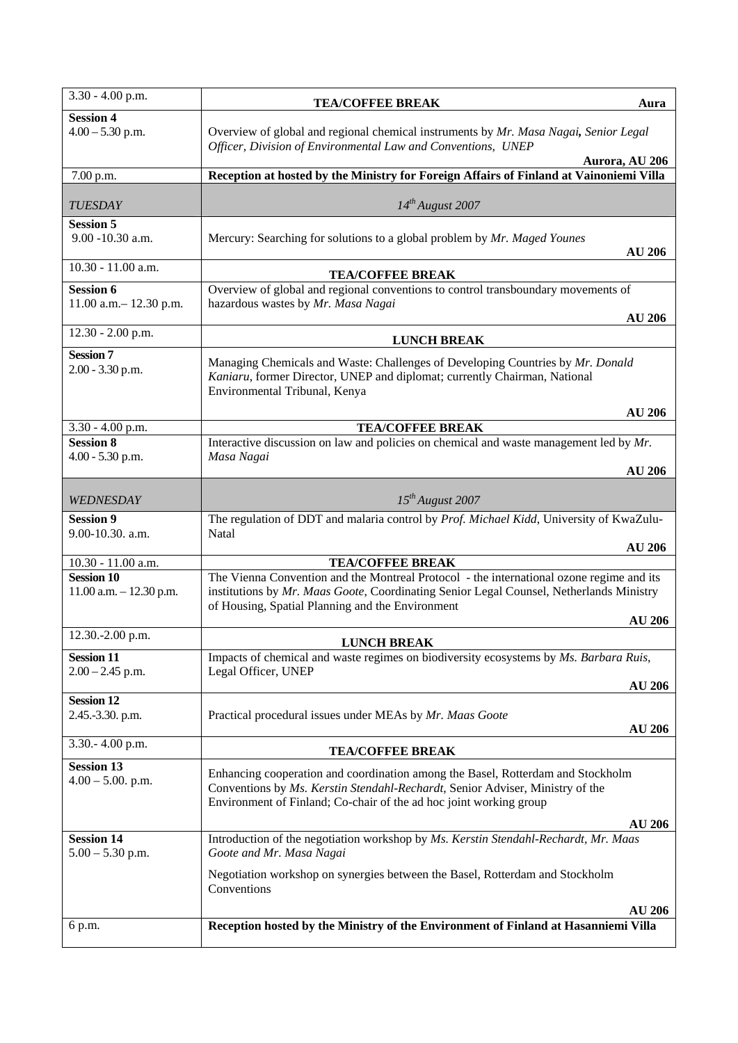| 3.30 - 4.00 p.m.                                 | <b>TEA/COFFEE BREAK</b>                                                                                                                                                                                                                 | Aura           |
|--------------------------------------------------|-----------------------------------------------------------------------------------------------------------------------------------------------------------------------------------------------------------------------------------------|----------------|
| <b>Session 4</b><br>$4.00 - 5.30$ p.m.           | Overview of global and regional chemical instruments by Mr. Masa Nagai, Senior Legal<br>Officer, Division of Environmental Law and Conventions, UNEP                                                                                    | Aurora, AU 206 |
| 7.00 p.m.                                        | Reception at hosted by the Ministry for Foreign Affairs of Finland at Vainoniemi Villa                                                                                                                                                  |                |
| <b>TUESDAY</b>                                   | $14^{th}$ August 2007                                                                                                                                                                                                                   |                |
| <b>Session 5</b><br>$9.00 - 10.30$ a.m.          | Mercury: Searching for solutions to a global problem by Mr. Maged Younes                                                                                                                                                                | <b>AU 206</b>  |
| 10.30 - 11.00 a.m.                               | <b>TEA/COFFEE BREAK</b>                                                                                                                                                                                                                 |                |
| <b>Session 6</b><br>11.00 a.m. $-$ 12.30 p.m.    | Overview of global and regional conventions to control transboundary movements of<br>hazardous wastes by Mr. Masa Nagai                                                                                                                 | <b>AU 206</b>  |
| 12.30 - 2.00 p.m.                                | <b>LUNCH BREAK</b>                                                                                                                                                                                                                      |                |
| <b>Session 7</b><br>$2.00 - 3.30$ p.m.           | Managing Chemicals and Waste: Challenges of Developing Countries by Mr. Donald<br>Kaniaru, former Director, UNEP and diplomat; currently Chairman, National<br>Environmental Tribunal, Kenya                                            | <b>AU 206</b>  |
| 3.30 - 4.00 p.m.                                 | <b>TEA/COFFEE BREAK</b>                                                                                                                                                                                                                 |                |
| <b>Session 8</b>                                 | Interactive discussion on law and policies on chemical and waste management led by $Mr$ .                                                                                                                                               |                |
| $4.00 - 5.30$ p.m.                               | Masa Nagai                                                                                                                                                                                                                              | <b>AU 206</b>  |
| WEDNESDAY                                        | $15^{th}$ August 2007                                                                                                                                                                                                                   |                |
| <b>Session 9</b>                                 | The regulation of DDT and malaria control by Prof. Michael Kidd, University of KwaZulu-                                                                                                                                                 |                |
| 9.00-10.30. a.m.                                 | Natal                                                                                                                                                                                                                                   | <b>AU 206</b>  |
| 10.30 - 11.00 a.m.                               | <b>TEA/COFFEE BREAK</b>                                                                                                                                                                                                                 |                |
| <b>Session 10</b><br>$11.00$ a.m. $- 12.30$ p.m. | The Vienna Convention and the Montreal Protocol - the international ozone regime and its<br>institutions by Mr. Maas Goote, Coordinating Senior Legal Counsel, Netherlands Ministry<br>of Housing, Spatial Planning and the Environment | <b>AU 206</b>  |
| 12.30.-2.00 p.m.                                 |                                                                                                                                                                                                                                         |                |
| <b>Session 11</b>                                | <b>LUNCH BREAK</b><br>Impacts of chemical and waste regimes on biodiversity ecosystems by Ms. Barbara Ruis,                                                                                                                             |                |
| $2.00 - 2.45$ p.m.                               | Legal Officer, UNEP                                                                                                                                                                                                                     |                |
| <b>Session 12</b>                                |                                                                                                                                                                                                                                         | <b>AU 206</b>  |
| 2.45.-3.30. p.m.                                 | Practical procedural issues under MEAs by Mr. Maas Goote                                                                                                                                                                                | <b>AU 206</b>  |
| 3.30.-4.00 p.m.                                  | <b>TEA/COFFEE BREAK</b>                                                                                                                                                                                                                 |                |
| <b>Session 13</b><br>$4.00 - 5.00$ . p.m.        | Enhancing cooperation and coordination among the Basel, Rotterdam and Stockholm<br>Conventions by Ms. Kerstin Stendahl-Rechardt, Senior Adviser, Ministry of the<br>Environment of Finland; Co-chair of the ad hoc joint working group  | <b>AU 206</b>  |
| <b>Session 14</b><br>$5.00 - 5.30$ p.m.          | Introduction of the negotiation workshop by Ms. Kerstin Stendahl-Rechardt, Mr. Maas<br>Goote and Mr. Masa Nagai                                                                                                                         |                |
|                                                  | Negotiation workshop on synergies between the Basel, Rotterdam and Stockholm<br>Conventions                                                                                                                                             |                |
|                                                  |                                                                                                                                                                                                                                         | <b>AU 206</b>  |
| 6 p.m.                                           | Reception hosted by the Ministry of the Environment of Finland at Hasanniemi Villa                                                                                                                                                      |                |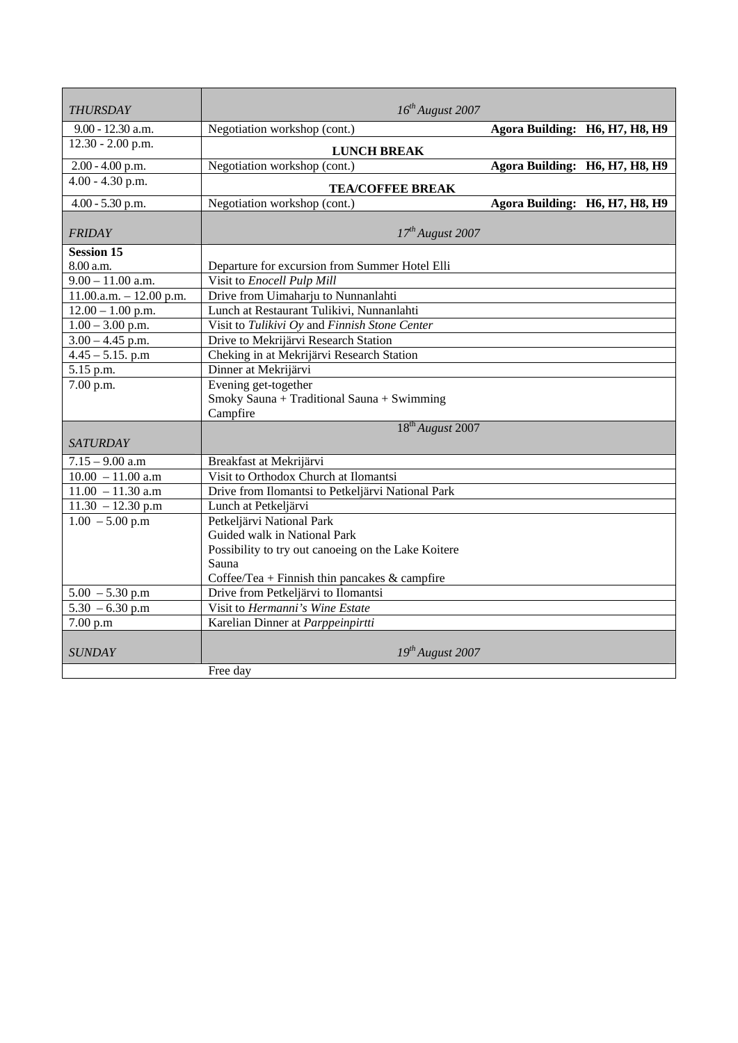| <b>THURSDAY</b>           | $16^{th}$ August 2007                                              |                                |  |
|---------------------------|--------------------------------------------------------------------|--------------------------------|--|
| $9.00 - 12.30$ a.m.       | Negotiation workshop (cont.)                                       | Agora Building: H6, H7, H8, H9 |  |
| $12.30 - 2.00$ p.m.       |                                                                    |                                |  |
|                           | <b>LUNCH BREAK</b>                                                 |                                |  |
| 2.00 - 4.00 p.m.          | Negotiation workshop (cont.)                                       | Agora Building: H6, H7, H8, H9 |  |
| $4.00 - 4.30$ p.m.        | <b>TEA/COFFEE BREAK</b>                                            |                                |  |
| $4.00 - 5.30$ p.m.        | Negotiation workshop (cont.)                                       | Agora Building: H6, H7, H8, H9 |  |
| <b>FRIDAY</b>             | $17^{th}$ August 2007                                              |                                |  |
| <b>Session 15</b>         |                                                                    |                                |  |
| 8.00 a.m.                 | Departure for excursion from Summer Hotel Elli                     |                                |  |
| $9.00 - 11.00$ a.m.       | Visit to Enocell Pulp Mill                                         |                                |  |
| $11.00.a.m. - 12.00 p.m.$ | Drive from Uimaharju to Nunnanlahti                                |                                |  |
| $12.00 - 1.00$ p.m.       | Lunch at Restaurant Tulikivi, Nunnanlahti                          |                                |  |
| $1.00 - 3.00$ p.m.        | Visit to Tulikivi Oy and Finnish Stone Center                      |                                |  |
| $3.00 - 4.45$ p.m.        | Drive to Mekrijärvi Research Station                               |                                |  |
| $4.45 - 5.15$ . p.m       | Cheking in at Mekrijärvi Research Station                          |                                |  |
| 5.15 p.m.                 | Dinner at Mekrijärvi                                               |                                |  |
| 7.00 p.m.                 | Evening get-together<br>Smoky Sauna + Traditional Sauna + Swimming |                                |  |
|                           | Campfire<br>18 <sup>th</sup> August 2007                           |                                |  |
| <b>SATURDAY</b>           |                                                                    |                                |  |
| $7.15 - 9.00$ a.m         | Breakfast at Mekrijärvi                                            |                                |  |
| $10.00 - 11.00$ a.m       | Visit to Orthodox Church at Ilomantsi                              |                                |  |
| $11.00 - 11.30$ a.m       | Drive from Ilomantsi to Petkeljärvi National Park                  |                                |  |
| $11.30 - 12.30$ p.m       | Lunch at Petkeljärvi                                               |                                |  |
| $1.00 - 5.00$ p.m         | Petkeljärvi National Park                                          |                                |  |
|                           | Guided walk in National Park                                       |                                |  |
|                           | Possibility to try out canoeing on the Lake Koitere                |                                |  |
|                           | Sauna                                                              |                                |  |
|                           | Coffee/Tea + Finnish thin pancakes $\&$ campfire                   |                                |  |
| $5.00 - 5.30$ p.m         | Drive from Petkeljärvi to Ilomantsi                                |                                |  |
| $5.30 - 6.30$ p.m         | Visit to Hermanni's Wine Estate                                    |                                |  |
| 7.00 p.m                  | Karelian Dinner at Parppeinpirtti                                  |                                |  |
| <b>SUNDAY</b>             | $19^{th}$ August 2007                                              |                                |  |
|                           | Free day                                                           |                                |  |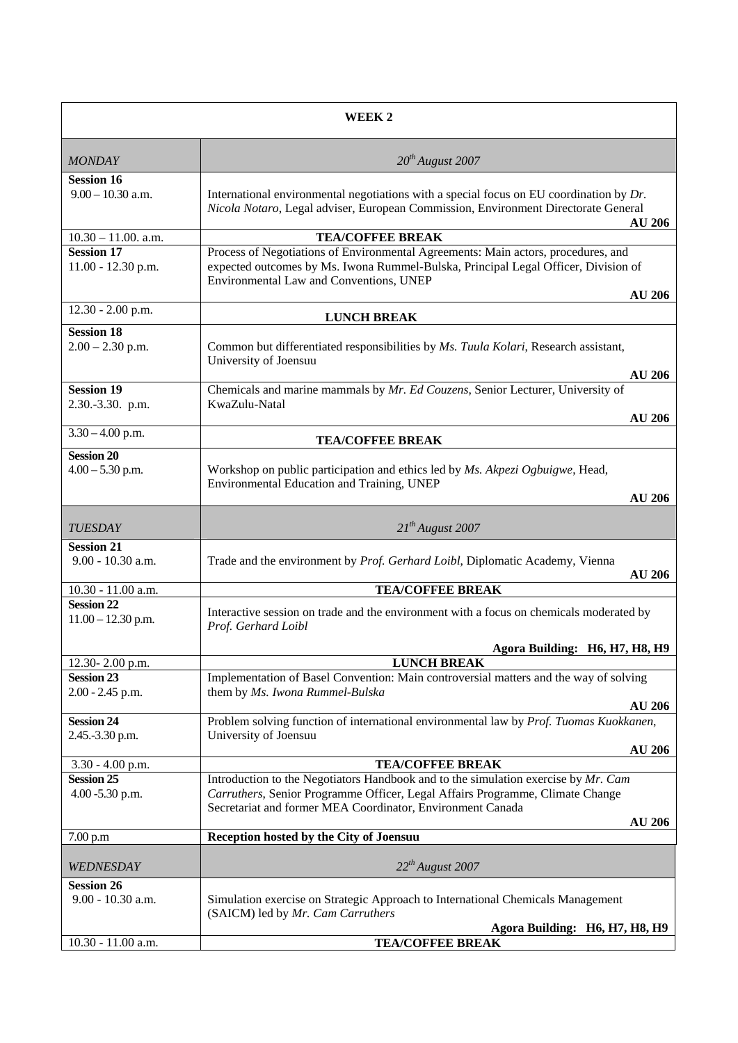| WEEK <sub>2</sub>                                          |                                                                                                                                                                                                                                                    |  |
|------------------------------------------------------------|----------------------------------------------------------------------------------------------------------------------------------------------------------------------------------------------------------------------------------------------------|--|
| <b>MONDAY</b>                                              | $20^{th}$ August 2007                                                                                                                                                                                                                              |  |
| <b>Session 16</b><br>$9.00 - 10.30$ a.m.                   | International environmental negotiations with a special focus on EU coordination by Dr.<br>Nicola Notaro, Legal adviser, European Commission, Environment Directorate General<br><b>AU 206</b>                                                     |  |
| $10.30 - 11.00$ . a.m.                                     | <b>TEA/COFFEE BREAK</b>                                                                                                                                                                                                                            |  |
| <b>Session 17</b><br>11.00 - 12.30 p.m.                    | Process of Negotiations of Environmental Agreements: Main actors, procedures, and<br>expected outcomes by Ms. Iwona Rummel-Bulska, Principal Legal Officer, Division of<br>Environmental Law and Conventions, UNEP<br><b>AU 206</b>                |  |
| 12.30 - 2.00 p.m.                                          |                                                                                                                                                                                                                                                    |  |
| <b>Session 18</b>                                          | <b>LUNCH BREAK</b>                                                                                                                                                                                                                                 |  |
| $2.00 - 2.30$ p.m.                                         | Common but differentiated responsibilities by Ms. Tuula Kolari, Research assistant,<br>University of Joensuu<br><b>AU 206</b>                                                                                                                      |  |
| <b>Session 19</b>                                          | Chemicals and marine mammals by Mr. Ed Couzens, Senior Lecturer, University of                                                                                                                                                                     |  |
| 2.30.-3.30. p.m.                                           | KwaZulu-Natal<br><b>AU 206</b>                                                                                                                                                                                                                     |  |
| $3.30 - 4.00$ p.m.                                         | <b>TEA/COFFEE BREAK</b>                                                                                                                                                                                                                            |  |
| <b>Session 20</b><br>$4.00 - 5.30$ p.m.                    | Workshop on public participation and ethics led by Ms. Akpezi Ogbuigwe, Head,<br>Environmental Education and Training, UNEP<br><b>AU 206</b>                                                                                                       |  |
| <b>TUESDAY</b>                                             | $21^{th}$ August 2007                                                                                                                                                                                                                              |  |
| <b>Session 21</b><br>9.00 - 10.30 a.m.                     | Trade and the environment by Prof. Gerhard Loibl, Diplomatic Academy, Vienna<br><b>AU 206</b>                                                                                                                                                      |  |
| 10.30 - 11.00 a.m.                                         | <b>TEA/COFFEE BREAK</b>                                                                                                                                                                                                                            |  |
| <b>Session 22</b><br>$11.00 - 12.30$ p.m.                  | Interactive session on trade and the environment with a focus on chemicals moderated by<br>Prof. Gerhard Loibl                                                                                                                                     |  |
|                                                            | Agora Building: H6, H7, H8, H9                                                                                                                                                                                                                     |  |
| 12.30-2.00 p.m.<br><b>Session 23</b><br>$2.00 - 2.45$ p.m. | <b>LUNCH BREAK</b><br>Implementation of Basel Convention: Main controversial matters and the way of solving<br>them by Ms. Iwona Rummel-Bulska<br><b>AU 206</b>                                                                                    |  |
| <b>Session 24</b><br>2.45.-3.30 p.m.                       | Problem solving function of international environmental law by Prof. Tuomas Kuokkanen,<br>University of Joensuu<br><b>AU 206</b>                                                                                                                   |  |
| $3.30 - 4.00$ p.m.                                         | <b>TEA/COFFEE BREAK</b>                                                                                                                                                                                                                            |  |
| <b>Session 25</b><br>4.00 -5.30 p.m.                       | Introduction to the Negotiators Handbook and to the simulation exercise by Mr. Cam<br>Carruthers, Senior Programme Officer, Legal Affairs Programme, Climate Change<br>Secretariat and former MEA Coordinator, Environment Canada<br><b>AU 206</b> |  |
| 7.00 p.m                                                   | Reception hosted by the City of Joensuu                                                                                                                                                                                                            |  |
| WEDNESDAY<br><b>Session 26</b>                             | $22^{th}$ August 2007                                                                                                                                                                                                                              |  |
| 9.00 - 10.30 a.m.                                          | Simulation exercise on Strategic Approach to International Chemicals Management<br>(SAICM) led by Mr. Cam Carruthers<br>Agora Building: H6, H7, H8, H9                                                                                             |  |
| 10.30 - 11.00 a.m.                                         | <b>TEA/COFFEE BREAK</b>                                                                                                                                                                                                                            |  |